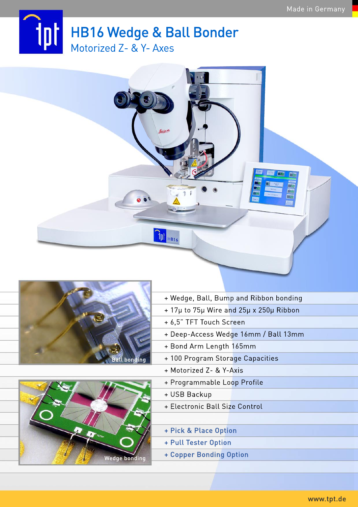## **tot** HB16 Wedge & Ball Bonder Motorized Z- & Y- Axes

Peice

 $q_{\mathrm{pl}}$   $_{\mathrm{HB16}}$ 





- + Wedge, Ball, Bump and Ribbon bonding
- +17µto75µWireand25µx250µRibbon
- + 6,5" TFT Touch Screen
- + Deep-Access Wedge 16mm / Ball 13mm
- + Bond Arm Length 165mm
- + 100 Program Storage Capacities
- +MotorizedZ-&Y-Axis
- + Programmable Loop Profile
- + USB Backup
- + Electronic Ball Size Control
- +Pick&PlaceOption
- + Pull Tester Option
- + Copper Bonding Option